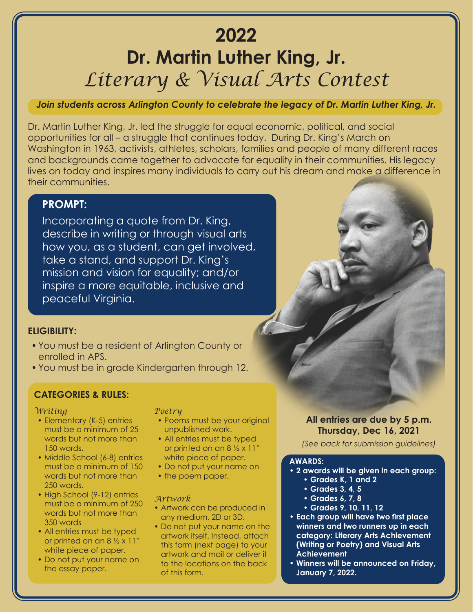# **2022 Dr. Martin Luther King, Jr.** *Literary & Visual Arts Contest*

## *Join students across Arlington County to celebrate the legacy of Dr. Martin Luther King, Jr.*

Dr. Martin Luther King, Jr. led the struggle for equal economic, political, and social opportunities for all – a struggle that continues today. During Dr. King's March on Washington in 1963, activists, athletes, scholars, families and people of many different races and backgrounds came together to advocate for equality in their communities. His legacy lives on today and inspires many individuals to carry out his dream and make a difference in their communities.

## **PROMPT:**

Incorporating a quote from Dr. King, describe in writing or through visual arts how you, as a student, can get involved, take a stand, and support Dr. King's mission and vision for equality; and/or inspire a more equitable, inclusive and peaceful Virginia.

### **ELIGIBILITY:**

- •You must be a resident of Arlington County or enrolled in APS.
- •You must be in grade Kindergarten through 12.

# **CATEGORIES & RULES:**

#### *Writing*

- Elementary (K-5) entries must be a minimum of 25 words but not more than 150 words.
- Middle School (6-8) entries must be a minimum of 150 words but not more than 250 words.
- High School (9-12) entries must be a minimum of 250 words but not more than 350 words
- All entries must be typed or printed on an  $8\frac{1}{2} \times 11$ " white piece of paper.
- Do not put your name on the essay paper.

#### *Poetry*

- Poems must be your original unpublished work.
- All entries must be typed or printed on an 8 ½ x 11" white piece of paper.
- Do not put your name on
- the poem paper.

#### *Artwork*

- Artwork can be produced in any medium, 2D or 3D.
- Do not put your name on the artwork itself. Instead, attach this form (next page) to your artwork and mail or deliver it to the locations on the back of this form.

## **All entries are due by 5 p.m. Thursday, Dec 16, 2021**

*(See back for submission guidelines)*

#### **AWARDS:**

- **• 2 awards will be given in each group:**
	- **• Grades K, 1 and 2**
	- **• Grades 3, 4, 5**
	- **• Grades 6, 7, 8**
	- **• Grades 9, 10, 11, 12**
- **• Each group will have two first place winners and two runners up in each category: Literary Arts Achievement (Writing or Poetry) and Visual Arts Achievement**
- **• Winners will be announced on Friday, January 7, 2022.**